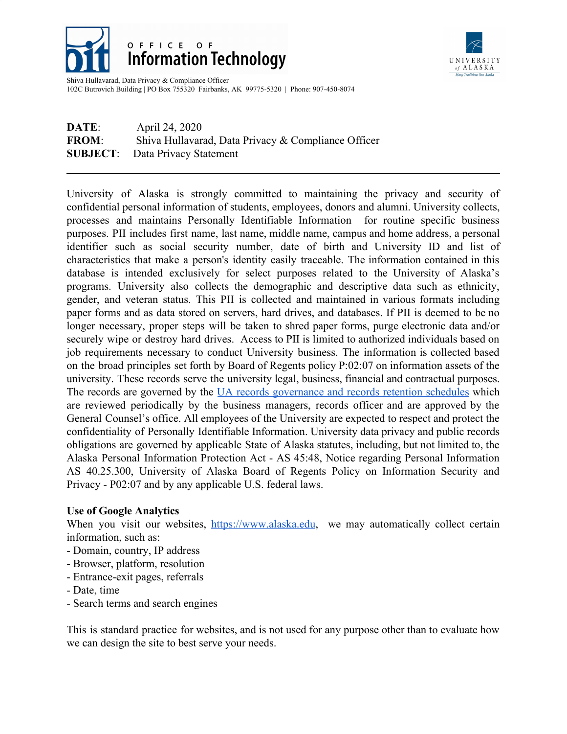

## OFFICE OF **Information Technology**



Shiva Hullavarad, Data Privacy & Compliance Officer 102C Butrovich Building | PO Box 755320 Fairbanks, AK 99775-5320 | Phone: 907-450-8074

## **DATE**: April 24, 2020 **FROM:** Shiva Hullavarad, Data Privacy & Compliance Officer **SUBJECT**: Data Privacy Statement

University of Alaska is strongly committed to maintaining the privacy and security of confidential personal information of students, employees, donors and alumni. University collects, processes and maintains Personally Identifiable Information for routine specific business purposes. PII includes first name, last name, middle name, campus and home address, a personal identifier such as social security number, date of birth and University ID and list of characteristics that make a person's identity easily traceable. The information contained in this database is intended exclusively for select purposes related to the University of Alaska's programs. University also collects the demographic and descriptive data such as ethnicity, gender, and veteran status. This PII is collected and maintained in various formats including paper forms and as data stored on servers, hard drives, and databases. If PII is deemed to be no longer necessary, proper steps will be taken to shred paper forms, purge electronic data and/or securely wipe or destroy hard drives. Access to PII is limited to authorized individuals based on job requirements necessary to conduct University business. The information is collected based on the broad principles set forth by Board of Regents policy P:02:07 on information assets of the university. These records serve the university legal, business, financial and contractual purposes. The records are governed by the UA records [governance](http://alaska.edu/records/) and records retention schedules which are reviewed periodically by the business managers, records officer and are approved by the General Counsel's office. All employees of the University are expected to respect and protect the confidentiality of Personally Identifiable Information. University data privacy and public records obligations are governed by applicable State of Alaska statutes, including, but not limited to, the Alaska Personal Information Protection Act - AS 45:48, Notice regarding Personal Information AS 40.25.300, University of Alaska Board of Regents Policy on Information Security and Privacy - P02:07 and by any applicable U.S. federal laws.

## **Use of Google Analytics**

When you visit our websites, [https://www.alaska.edu](https://www.alaska.edu/), we may automatically collect certain information, such as:

- Domain, country, IP address
- Browser, platform, resolution
- Entrance-exit pages, referrals
- Date, time
- Search terms and search engines

This is standard practice for websites, and is not used for any purpose other than to evaluate how we can design the site to best serve your needs.